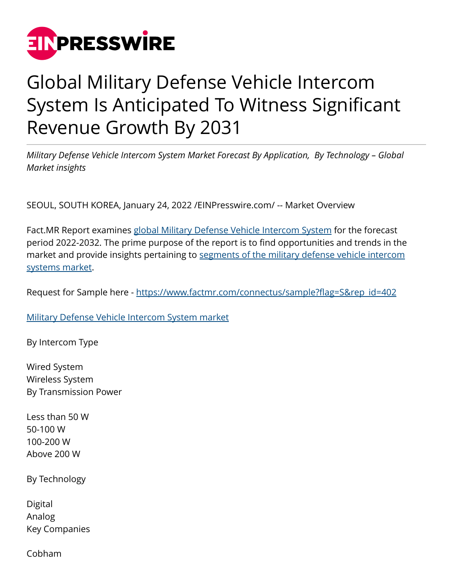

## Global Military Defense Vehicle Intercom System Is Anticipated To Witness Significant Revenue Growth By 2031

*Military Defense Vehicle Intercom System Market Forecast By Application, By Technology – Global Market insights*

SEOUL, SOUTH KOREA, January 24, 2022 /[EINPresswire.com](http://www.einpresswire.com)/ -- Market Overview

Fact.MR Report examines [global Military Defense Vehicle Intercom System](https://www.factmr.com/report/402/military-defense-vehicle-intercom-system-market) for the forecast period 2022-2032. The prime purpose of the report is to find opportunities and trends in the market and provide insights pertaining to [segments of the military defense vehicle intercom](https://www.factmr.com/report/402/military-defense-vehicle-intercom-system-market) [systems market](https://www.factmr.com/report/402/military-defense-vehicle-intercom-system-market).

Request for Sample here - [https://www.factmr.com/connectus/sample?flag=S&rep\\_id=402](https://www.factmr.com/connectus/sample?flag=S&rep_id=402)

[Military Defense Vehicle Intercom System market](https://www.factmr.com/report/402/military-defense-vehicle-intercom-system-market)

By Intercom Type

Wired System Wireless System By Transmission Power

Less than 50 W 50-100 W 100-200 W Above 200 W

By Technology

Digital Analog Key Companies

Cobham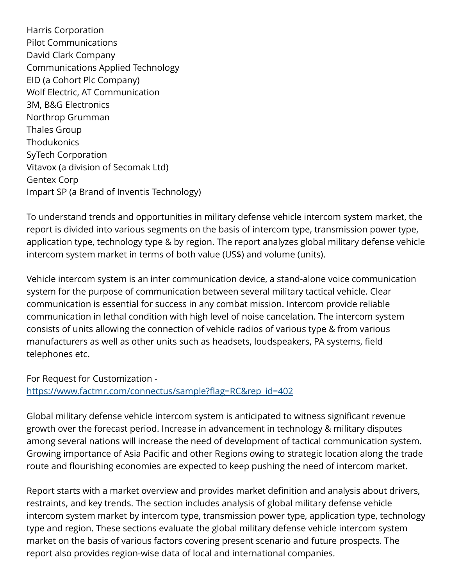Harris Corporation Pilot Communications David Clark Company Communications Applied Technology EID (a Cohort Plc Company) Wolf Electric, AT Communication 3M, B&G Electronics Northrop Grumman Thales Group **Thodukonics** SyTech Corporation Vitavox (a division of Secomak Ltd) Gentex Corp Impart SP (a Brand of Inventis Technology)

To understand trends and opportunities in military defense vehicle intercom system market, the report is divided into various segments on the basis of intercom type, transmission power type, application type, technology type & by region. The report analyzes global military defense vehicle intercom system market in terms of both value (US\$) and volume (units).

Vehicle intercom system is an inter communication device, a stand-alone voice communication system for the purpose of communication between several military tactical vehicle. Clear communication is essential for success in any combat mission. Intercom provide reliable communication in lethal condition with high level of noise cancelation. The intercom system consists of units allowing the connection of vehicle radios of various type & from various manufacturers as well as other units such as headsets, loudspeakers, PA systems, field telephones etc.

For Request for Customization [https://www.factmr.com/connectus/sample?flag=RC&rep\\_id=402](https://www.factmr.com/connectus/sample?flag=RC&rep_id=402)

Global military defense vehicle intercom system is anticipated to witness significant revenue growth over the forecast period. Increase in advancement in technology & military disputes among several nations will increase the need of development of tactical communication system. Growing importance of Asia Pacific and other Regions owing to strategic location along the trade route and flourishing economies are expected to keep pushing the need of intercom market.

Report starts with a market overview and provides market definition and analysis about drivers, restraints, and key trends. The section includes analysis of global military defense vehicle intercom system market by intercom type, transmission power type, application type, technology type and region. These sections evaluate the global military defense vehicle intercom system market on the basis of various factors covering present scenario and future prospects. The report also provides region-wise data of local and international companies.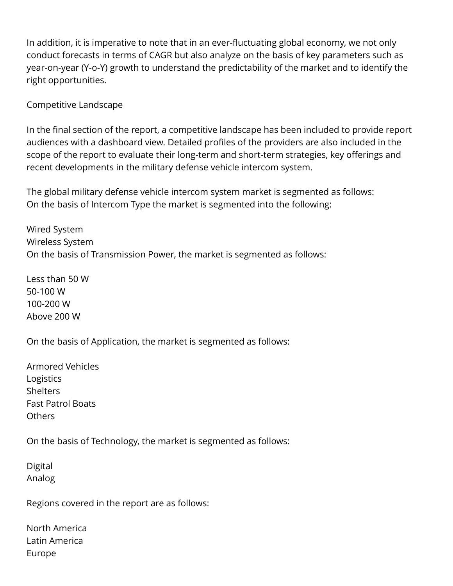In addition, it is imperative to note that in an ever-fluctuating global economy, we not only conduct forecasts in terms of CAGR but also analyze on the basis of key parameters such as year-on-year (Y-o-Y) growth to understand the predictability of the market and to identify the right opportunities.

Competitive Landscape

In the final section of the report, a competitive landscape has been included to provide report audiences with a dashboard view. Detailed profiles of the providers are also included in the scope of the report to evaluate their long-term and short-term strategies, key offerings and recent developments in the military defense vehicle intercom system.

The global military defense vehicle intercom system market is segmented as follows: On the basis of Intercom Type the market is segmented into the following:

Wired System Wireless System On the basis of Transmission Power, the market is segmented as follows:

Less than 50 W 50-100 W 100-200 W Above 200 W

On the basis of Application, the market is segmented as follows:

Armored Vehicles Logistics **Shelters** Fast Patrol Boats Others

On the basis of Technology, the market is segmented as follows:

Digital Analog

Regions covered in the report are as follows:

North America Latin America Europe